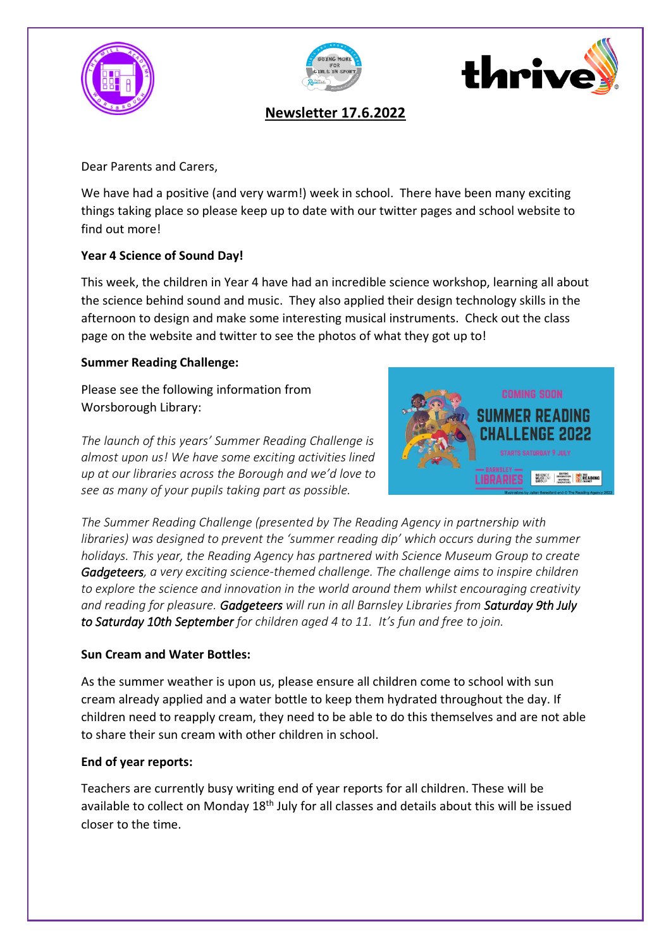





**Newsletter 17.6.2022**

Dear Parents and Carers,

We have had a positive (and very warm!) week in school. There have been many exciting things taking place so please keep up to date with our twitter pages and school website to find out more!

# **Year 4 Science of Sound Day!**

This week, the children in Year 4 have had an incredible science workshop, learning all about the science behind sound and music. They also applied their design technology skills in the afternoon to design and make some interesting musical instruments. Check out the class page on the website and twitter to see the photos of what they got up to!

## **Summer Reading Challenge:**

Please see the following information from Worsborough Library:

*The launch of this years' Summer Reading Challenge is almost upon us! We have some exciting activities lined up at our libraries across the Borough and we'd love to see as many of your pupils taking part as possible.* 



*The Summer Reading Challenge (presented by The Reading Agency in partnership with libraries) was designed to prevent the 'summer reading dip' which occurs during the summer holidays. This year, the Reading Agency has partnered with Science Museum Group to create Gadgeteers, a very exciting science-themed challenge. The challenge aims to inspire children to explore the science and innovation in the world around them whilst encouraging creativity and reading for pleasure. Gadgeteers will run in all Barnsley Libraries from Saturday 9th July to Saturday 10th September for children aged 4 to 11. It's fun and free to join.*

### **Sun Cream and Water Bottles:**

As the summer weather is upon us, please ensure all children come to school with sun cream already applied and a water bottle to keep them hydrated throughout the day. If children need to reapply cream, they need to be able to do this themselves and are not able to share their sun cream with other children in school.

### **End of year reports:**

Teachers are currently busy writing end of year reports for all children. These will be available to collect on Monday 18<sup>th</sup> July for all classes and details about this will be issued closer to the time.